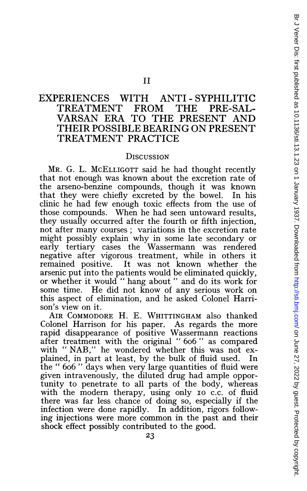# EXPERIENCES WITH ANTI-SYPHILITIC<br>-TREATMENT FROM THE PRE-SAL TREATMENT FROM THE PRE-SAL-TO THE PRESENT THEIR POSSIBLE BEARING ON PRESENT TREATMENT PRACTICE

#### **DISCUSSION**

MR. G. L. MCELLIGOTT said he had thought recently that not enough was known about the excretion rate of the arseno-benzine compounds, though it was known<br>that they were chiefly excreted by the bowel. In his that they were chiefly excreted by the bowel. clinic he had few enough toxic effects from the use of those compounds. When he had seen untoward results, they usually occurred after the fourth or fifth injection, not after many courses; variations in the excretion rate might possibly explain why in some late secondary or early tertiary cases the Wassermann was rendered negative after vigorous treatment, while in others it remained positive. It was not known whether the arsenic put into the patients would be eliminated quickly, or whether it would " hang about " and do its work for some time. He did not know of any serious work on this aspect of elimination, and he asked Colonel Harrison's view on it.

AIR COMMODORE H. E. WHITTINGHAM also thanked Colonel Harrison for his paper. As regards the more rapid disappearance of positive Wassermann reactions after treatment with the original " 6o6 " as compared with " NAB," he wondered whether this was not explained, in part at least, by the bulk of fluid used. In the " 6o6 " days when very large quantities of fluid were given intravenously, the diluted drug had ample opportunity to penetrate to all parts of the body, whereas with the modern therapy, using only 10 c.c. of fluid there was far less chance of doing so, especially if the infection were done rapidly. In addition, rigors following injections were more common in the past and their shock effect possibly contributed to the good.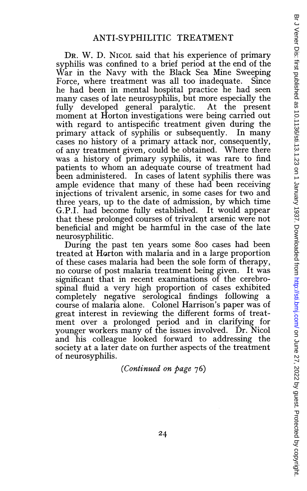DR. W. D. NICOL said that his experience of primary syphilis was confined to a brief period at the end of the War in the Navy with the Black Sea Mine Sweeping Force, where treatment was all too inadequate. he had been in mental hospital practice he had seen many cases of late neurosyphilis, but more especially the fully developed general paralytic. At the present fully developed general paralytic. moment at Horton investigations were being carried out with regard to antispecific treatment given during the primary attack of syphilis or subsequently. In many cases no history of a primary attack nor, consequently, of any treatment given, could be obtained. Where there was a history of primary syphilis, it was rare to find patients to whom an adequate course of treatment had been administered. In cases of latent syphilis there was ample evidence that many of these had been receiving injections of trivalent arsenic, in some cases for two and three years, up to the date of admission, by which time G.P.I. had become fully established. It would appear that these prolonged courses of trivalent arsenic were not beneficial and might be harmful in the case of the late neurosyphilitic.

During the past ten years some 8oo cases had been treated at Horton with malaria and in a large proportion of these cases malaria had been the sole form of therapy, no course of post malaria treatment being given. It was significant that in recent examinations of the cerebrospinal fluid a very high proportion of cases exhibited completely negative serological findings following a course of malaria alone. Colonel Harrison's paper was of great interest in reviewing the different forms of treatment over a prolonged period and in clarifying for vounger workers many of the issues involved. Dr. Nicol younger workers many of the issues involved. and his colleague looked forward to addressing the society at a later date on further aspects of the treatment of neurosyphilis.

(Continued on page 76)